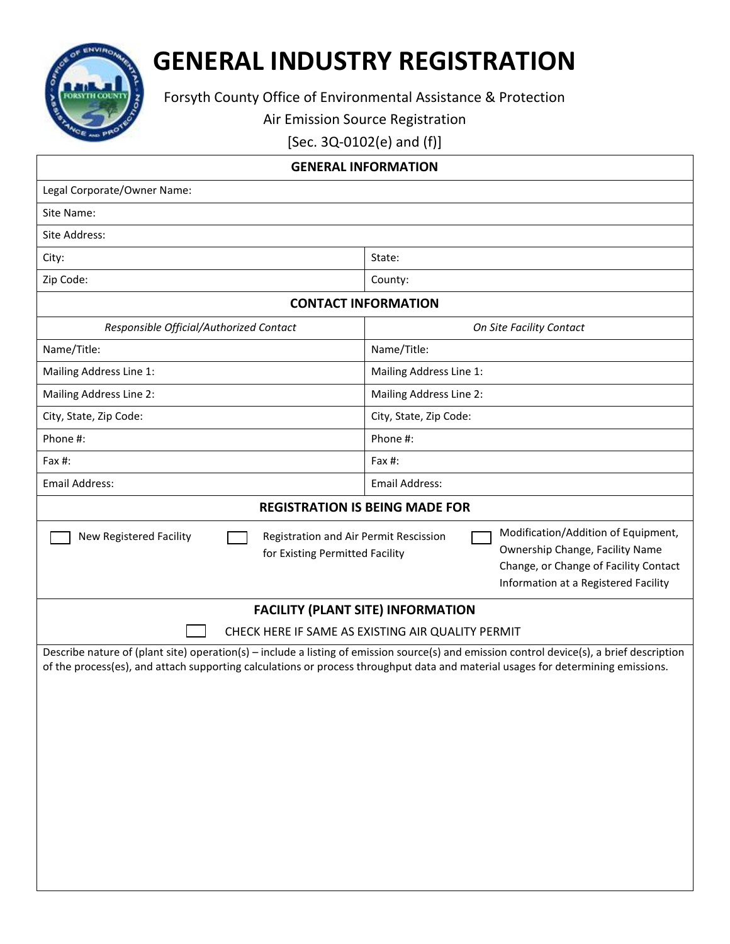

## **GENERAL INDUSTRY REGISTRATION**

Forsyth County Office of Environmental Assistance & Protection

Air Emission Source Registration

[Sec. 3Q-0102(e) and (f)]

| <b>GENERAL INFORMATION</b>                                                                                                                                                                                                                                                     |  |  |  |  |  |
|--------------------------------------------------------------------------------------------------------------------------------------------------------------------------------------------------------------------------------------------------------------------------------|--|--|--|--|--|
| Legal Corporate/Owner Name:                                                                                                                                                                                                                                                    |  |  |  |  |  |
| Site Name:                                                                                                                                                                                                                                                                     |  |  |  |  |  |
| Site Address:                                                                                                                                                                                                                                                                  |  |  |  |  |  |
| State:                                                                                                                                                                                                                                                                         |  |  |  |  |  |
| County:                                                                                                                                                                                                                                                                        |  |  |  |  |  |
| <b>CONTACT INFORMATION</b>                                                                                                                                                                                                                                                     |  |  |  |  |  |
| On Site Facility Contact                                                                                                                                                                                                                                                       |  |  |  |  |  |
| Name/Title:                                                                                                                                                                                                                                                                    |  |  |  |  |  |
| Mailing Address Line 1:                                                                                                                                                                                                                                                        |  |  |  |  |  |
| Mailing Address Line 2:                                                                                                                                                                                                                                                        |  |  |  |  |  |
| City, State, Zip Code:                                                                                                                                                                                                                                                         |  |  |  |  |  |
| Phone #:                                                                                                                                                                                                                                                                       |  |  |  |  |  |
| Fax #:                                                                                                                                                                                                                                                                         |  |  |  |  |  |
| <b>Email Address:</b>                                                                                                                                                                                                                                                          |  |  |  |  |  |
| <b>REGISTRATION IS BEING MADE FOR</b>                                                                                                                                                                                                                                          |  |  |  |  |  |
| Modification/Addition of Equipment,<br>Registration and Air Permit Rescission<br>Ownership Change, Facility Name<br>for Existing Permitted Facility<br>Change, or Change of Facility Contact<br>Information at a Registered Facility                                           |  |  |  |  |  |
| <b>FACILITY (PLANT SITE) INFORMATION</b>                                                                                                                                                                                                                                       |  |  |  |  |  |
| CHECK HERE IF SAME AS EXISTING AIR QUALITY PERMIT                                                                                                                                                                                                                              |  |  |  |  |  |
| Describe nature of (plant site) operation(s) – include a listing of emission source(s) and emission control device(s), a brief description<br>of the process(es), and attach supporting calculations or process throughput data and material usages for determining emissions. |  |  |  |  |  |
|                                                                                                                                                                                                                                                                                |  |  |  |  |  |